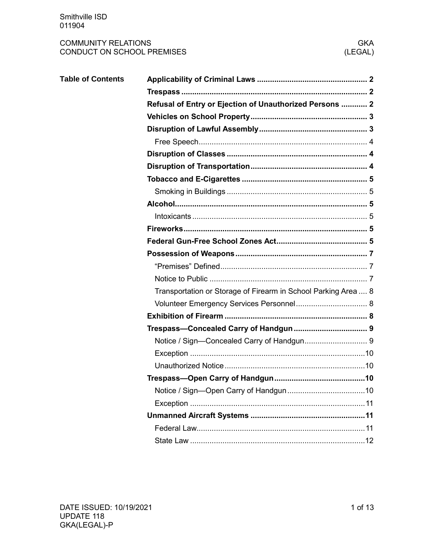| <b>Table of Contents</b> |                                                                |  |  |  |  |  |  |
|--------------------------|----------------------------------------------------------------|--|--|--|--|--|--|
|                          |                                                                |  |  |  |  |  |  |
|                          | Refusal of Entry or Ejection of Unauthorized Persons  2        |  |  |  |  |  |  |
|                          |                                                                |  |  |  |  |  |  |
|                          |                                                                |  |  |  |  |  |  |
|                          |                                                                |  |  |  |  |  |  |
|                          |                                                                |  |  |  |  |  |  |
|                          |                                                                |  |  |  |  |  |  |
|                          |                                                                |  |  |  |  |  |  |
|                          |                                                                |  |  |  |  |  |  |
|                          |                                                                |  |  |  |  |  |  |
|                          |                                                                |  |  |  |  |  |  |
|                          |                                                                |  |  |  |  |  |  |
|                          |                                                                |  |  |  |  |  |  |
|                          |                                                                |  |  |  |  |  |  |
|                          |                                                                |  |  |  |  |  |  |
|                          |                                                                |  |  |  |  |  |  |
|                          | Transportation or Storage of Firearm in School Parking Area  8 |  |  |  |  |  |  |
|                          |                                                                |  |  |  |  |  |  |
|                          |                                                                |  |  |  |  |  |  |
|                          |                                                                |  |  |  |  |  |  |
|                          |                                                                |  |  |  |  |  |  |
|                          |                                                                |  |  |  |  |  |  |
|                          |                                                                |  |  |  |  |  |  |
|                          |                                                                |  |  |  |  |  |  |
|                          |                                                                |  |  |  |  |  |  |
|                          |                                                                |  |  |  |  |  |  |
|                          |                                                                |  |  |  |  |  |  |
|                          |                                                                |  |  |  |  |  |  |
|                          |                                                                |  |  |  |  |  |  |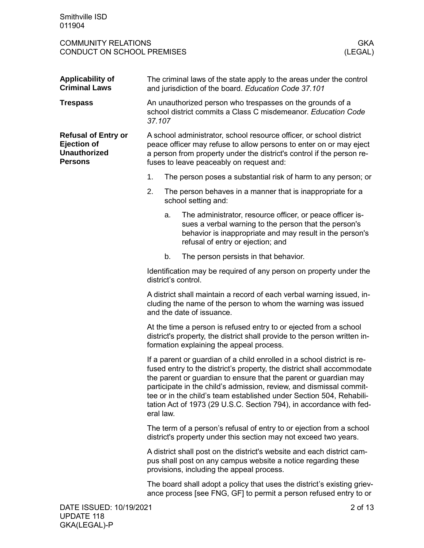<span id="page-1-2"></span><span id="page-1-1"></span><span id="page-1-0"></span>

| <b>Applicability of</b><br><b>Criminal Laws</b>                                           | The criminal laws of the state apply to the areas under the control<br>and jurisdiction of the board. Education Code 37.101                                                                                                                                                                                                                                                                                                                             |    |                                                                                                                                                                                                                                                                |  |  |  |
|-------------------------------------------------------------------------------------------|---------------------------------------------------------------------------------------------------------------------------------------------------------------------------------------------------------------------------------------------------------------------------------------------------------------------------------------------------------------------------------------------------------------------------------------------------------|----|----------------------------------------------------------------------------------------------------------------------------------------------------------------------------------------------------------------------------------------------------------------|--|--|--|
| <b>Trespass</b>                                                                           | An unauthorized person who trespasses on the grounds of a<br>school district commits a Class C misdemeanor. Education Code<br>37.107                                                                                                                                                                                                                                                                                                                    |    |                                                                                                                                                                                                                                                                |  |  |  |
| <b>Refusal of Entry or</b><br><b>Ejection of</b><br><b>Unauthorized</b><br><b>Persons</b> |                                                                                                                                                                                                                                                                                                                                                                                                                                                         |    | A school administrator, school resource officer, or school district<br>peace officer may refuse to allow persons to enter on or may eject<br>a person from property under the district's control if the person re-<br>fuses to leave peaceably on request and: |  |  |  |
|                                                                                           | 1.                                                                                                                                                                                                                                                                                                                                                                                                                                                      |    | The person poses a substantial risk of harm to any person; or                                                                                                                                                                                                  |  |  |  |
|                                                                                           | 2.                                                                                                                                                                                                                                                                                                                                                                                                                                                      |    | The person behaves in a manner that is inappropriate for a<br>school setting and:                                                                                                                                                                              |  |  |  |
|                                                                                           |                                                                                                                                                                                                                                                                                                                                                                                                                                                         | a. | The administrator, resource officer, or peace officer is-<br>sues a verbal warning to the person that the person's<br>behavior is inappropriate and may result in the person's<br>refusal of entry or ejection; and                                            |  |  |  |
|                                                                                           |                                                                                                                                                                                                                                                                                                                                                                                                                                                         | b. | The person persists in that behavior.                                                                                                                                                                                                                          |  |  |  |
|                                                                                           | Identification may be required of any person on property under the<br>district's control.                                                                                                                                                                                                                                                                                                                                                               |    |                                                                                                                                                                                                                                                                |  |  |  |
|                                                                                           | A district shall maintain a record of each verbal warning issued, in-<br>cluding the name of the person to whom the warning was issued<br>and the date of issuance.                                                                                                                                                                                                                                                                                     |    |                                                                                                                                                                                                                                                                |  |  |  |
|                                                                                           | At the time a person is refused entry to or ejected from a school<br>district's property, the district shall provide to the person written in-<br>formation explaining the appeal process.                                                                                                                                                                                                                                                              |    |                                                                                                                                                                                                                                                                |  |  |  |
|                                                                                           | If a parent or guardian of a child enrolled in a school district is re-<br>fused entry to the district's property, the district shall accommodate<br>the parent or guardian to ensure that the parent or guardian may<br>participate in the child's admission, review, and dismissal commit-<br>tee or in the child's team established under Section 504, Rehabili-<br>tation Act of 1973 (29 U.S.C. Section 794), in accordance with fed-<br>eral law. |    |                                                                                                                                                                                                                                                                |  |  |  |
|                                                                                           | The term of a person's refusal of entry to or ejection from a school<br>district's property under this section may not exceed two years.                                                                                                                                                                                                                                                                                                                |    |                                                                                                                                                                                                                                                                |  |  |  |
|                                                                                           | A district shall post on the district's website and each district cam-<br>pus shall post on any campus website a notice regarding these<br>provisions, including the appeal process.                                                                                                                                                                                                                                                                    |    |                                                                                                                                                                                                                                                                |  |  |  |
|                                                                                           |                                                                                                                                                                                                                                                                                                                                                                                                                                                         |    | The board shall adopt a policy that uses the district's existing griev-<br>ance process [see FNG, GF] to permit a person refused entry to or                                                                                                                   |  |  |  |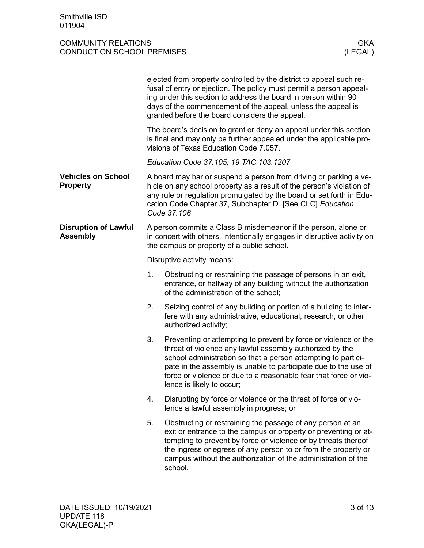<span id="page-2-1"></span><span id="page-2-0"></span>

|                                                |                                                                                                                                                                                         | ejected from property controlled by the district to appeal such re-<br>fusal of entry or ejection. The policy must permit a person appeal-<br>ing under this section to address the board in person within 90<br>days of the commencement of the appeal, unless the appeal is<br>granted before the board considers the appeal.                                  |  |  |  |
|------------------------------------------------|-----------------------------------------------------------------------------------------------------------------------------------------------------------------------------------------|------------------------------------------------------------------------------------------------------------------------------------------------------------------------------------------------------------------------------------------------------------------------------------------------------------------------------------------------------------------|--|--|--|
|                                                | The board's decision to grant or deny an appeal under this section<br>is final and may only be further appealed under the applicable pro-<br>visions of Texas Education Code 7.057.     |                                                                                                                                                                                                                                                                                                                                                                  |  |  |  |
|                                                |                                                                                                                                                                                         | Education Code 37.105; 19 TAC 103.1207                                                                                                                                                                                                                                                                                                                           |  |  |  |
| <b>Vehicles on School</b><br><b>Property</b>   |                                                                                                                                                                                         | A board may bar or suspend a person from driving or parking a ve-<br>hicle on any school property as a result of the person's violation of<br>any rule or regulation promulgated by the board or set forth in Edu-<br>cation Code Chapter 37, Subchapter D. [See CLC] Education<br>Code 37.106                                                                   |  |  |  |
| <b>Disruption of Lawful</b><br><b>Assembly</b> | A person commits a Class B misdemeanor if the person, alone or<br>in concert with others, intentionally engages in disruptive activity on<br>the campus or property of a public school. |                                                                                                                                                                                                                                                                                                                                                                  |  |  |  |
|                                                | Disruptive activity means:                                                                                                                                                              |                                                                                                                                                                                                                                                                                                                                                                  |  |  |  |
|                                                | 1.                                                                                                                                                                                      | Obstructing or restraining the passage of persons in an exit,<br>entrance, or hallway of any building without the authorization<br>of the administration of the school;                                                                                                                                                                                          |  |  |  |
|                                                | 2.                                                                                                                                                                                      | Seizing control of any building or portion of a building to inter-<br>fere with any administrative, educational, research, or other<br>authorized activity;                                                                                                                                                                                                      |  |  |  |
|                                                | 3.                                                                                                                                                                                      | Preventing or attempting to prevent by force or violence or the<br>threat of violence any lawful assembly authorized by the<br>school administration so that a person attempting to partici-<br>pate in the assembly is unable to participate due to the use of<br>force or violence or due to a reasonable fear that force or vio-<br>lence is likely to occur; |  |  |  |
|                                                | 4.                                                                                                                                                                                      | Disrupting by force or violence or the threat of force or vio-<br>lence a lawful assembly in progress; or                                                                                                                                                                                                                                                        |  |  |  |
|                                                | 5.                                                                                                                                                                                      | Obstructing or restraining the passage of any person at an<br>exit or entrance to the campus or property or preventing or at-<br>tempting to prevent by force or violence or by threats thereof<br>the ingress or egress of any person to or from the property or<br>campus without the authorization of the administration of the<br>school.                    |  |  |  |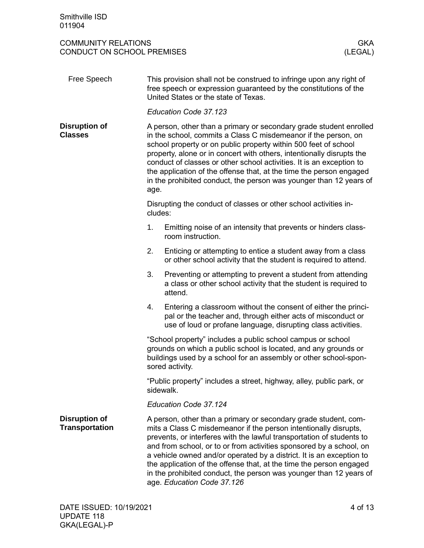<span id="page-3-2"></span><span id="page-3-1"></span><span id="page-3-0"></span>

| Free Speech                                   | This provision shall not be construed to infringe upon any right of<br>free speech or expression guaranteed by the constitutions of the<br>United States or the state of Texas.                                                                                                                                                                                                                                                                                                                               |                                                                                                                                                                                                                                                                                                                                                                                                                                                                                                                                        |  |  |  |  |
|-----------------------------------------------|---------------------------------------------------------------------------------------------------------------------------------------------------------------------------------------------------------------------------------------------------------------------------------------------------------------------------------------------------------------------------------------------------------------------------------------------------------------------------------------------------------------|----------------------------------------------------------------------------------------------------------------------------------------------------------------------------------------------------------------------------------------------------------------------------------------------------------------------------------------------------------------------------------------------------------------------------------------------------------------------------------------------------------------------------------------|--|--|--|--|
|                                               | Education Code 37.123                                                                                                                                                                                                                                                                                                                                                                                                                                                                                         |                                                                                                                                                                                                                                                                                                                                                                                                                                                                                                                                        |  |  |  |  |
| <b>Disruption of</b><br><b>Classes</b>        | A person, other than a primary or secondary grade student enrolled<br>in the school, commits a Class C misdemeanor if the person, on<br>school property or on public property within 500 feet of school<br>property, alone or in concert with others, intentionally disrupts the<br>conduct of classes or other school activities. It is an exception to<br>the application of the offense that, at the time the person engaged<br>in the prohibited conduct, the person was younger than 12 years of<br>age. |                                                                                                                                                                                                                                                                                                                                                                                                                                                                                                                                        |  |  |  |  |
|                                               | cludes:                                                                                                                                                                                                                                                                                                                                                                                                                                                                                                       | Disrupting the conduct of classes or other school activities in-                                                                                                                                                                                                                                                                                                                                                                                                                                                                       |  |  |  |  |
|                                               | 1.                                                                                                                                                                                                                                                                                                                                                                                                                                                                                                            | Emitting noise of an intensity that prevents or hinders class-<br>room instruction.                                                                                                                                                                                                                                                                                                                                                                                                                                                    |  |  |  |  |
|                                               | 2.                                                                                                                                                                                                                                                                                                                                                                                                                                                                                                            | Enticing or attempting to entice a student away from a class<br>or other school activity that the student is required to attend.                                                                                                                                                                                                                                                                                                                                                                                                       |  |  |  |  |
|                                               | 3.                                                                                                                                                                                                                                                                                                                                                                                                                                                                                                            | Preventing or attempting to prevent a student from attending<br>a class or other school activity that the student is required to<br>attend.                                                                                                                                                                                                                                                                                                                                                                                            |  |  |  |  |
|                                               | 4.                                                                                                                                                                                                                                                                                                                                                                                                                                                                                                            | Entering a classroom without the consent of either the princi-<br>pal or the teacher and, through either acts of misconduct or<br>use of loud or profane language, disrupting class activities.                                                                                                                                                                                                                                                                                                                                        |  |  |  |  |
|                                               | "School property" includes a public school campus or school<br>grounds on which a public school is located, and any grounds or<br>buildings used by a school for an assembly or other school-spon-<br>sored activity.                                                                                                                                                                                                                                                                                         |                                                                                                                                                                                                                                                                                                                                                                                                                                                                                                                                        |  |  |  |  |
|                                               | "Public property" includes a street, highway, alley, public park, or<br>sidewalk.                                                                                                                                                                                                                                                                                                                                                                                                                             |                                                                                                                                                                                                                                                                                                                                                                                                                                                                                                                                        |  |  |  |  |
|                                               | Education Code 37.124                                                                                                                                                                                                                                                                                                                                                                                                                                                                                         |                                                                                                                                                                                                                                                                                                                                                                                                                                                                                                                                        |  |  |  |  |
| <b>Disruption of</b><br><b>Transportation</b> |                                                                                                                                                                                                                                                                                                                                                                                                                                                                                                               | A person, other than a primary or secondary grade student, com-<br>mits a Class C misdemeanor if the person intentionally disrupts,<br>prevents, or interferes with the lawful transportation of students to<br>and from school, or to or from activities sponsored by a school, on<br>a vehicle owned and/or operated by a district. It is an exception to<br>the application of the offense that, at the time the person engaged<br>in the prohibited conduct, the person was younger than 12 years of<br>age. Education Code 37.126 |  |  |  |  |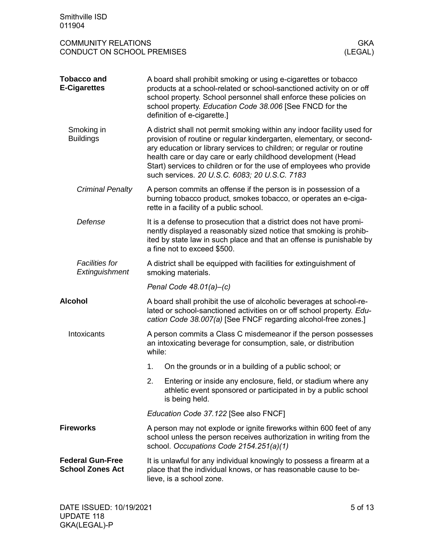<span id="page-4-5"></span><span id="page-4-4"></span><span id="page-4-3"></span><span id="page-4-2"></span><span id="page-4-1"></span><span id="page-4-0"></span>

| Smithville ISD<br>011904                                                          |                                                                                                                                                                                                                                                                                                                                                                                                                 |  |  |  |  |  |
|-----------------------------------------------------------------------------------|-----------------------------------------------------------------------------------------------------------------------------------------------------------------------------------------------------------------------------------------------------------------------------------------------------------------------------------------------------------------------------------------------------------------|--|--|--|--|--|
| <b>COMMUNITY RELATIONS</b><br><b>GKA</b><br>CONDUCT ON SCHOOL PREMISES<br>(LEGAL) |                                                                                                                                                                                                                                                                                                                                                                                                                 |  |  |  |  |  |
| <b>Tobacco and</b><br><b>E-Cigarettes</b>                                         | A board shall prohibit smoking or using e-cigarettes or tobacco<br>products at a school-related or school-sanctioned activity on or off<br>school property. School personnel shall enforce these policies on<br>school property. Education Code 38.006 [See FNCD for the<br>definition of e-cigarette.]                                                                                                         |  |  |  |  |  |
| Smoking in<br><b>Buildings</b>                                                    | A district shall not permit smoking within any indoor facility used for<br>provision of routine or regular kindergarten, elementary, or second-<br>ary education or library services to children; or regular or routine<br>health care or day care or early childhood development (Head<br>Start) services to children or for the use of employees who provide<br>such services. 20 U.S.C. 6083; 20 U.S.C. 7183 |  |  |  |  |  |
| <b>Criminal Penalty</b>                                                           | A person commits an offense if the person is in possession of a<br>burning tobacco product, smokes tobacco, or operates an e-ciga-<br>rette in a facility of a public school.                                                                                                                                                                                                                                   |  |  |  |  |  |
| Defense                                                                           | It is a defense to prosecution that a district does not have promi-<br>nently displayed a reasonably sized notice that smoking is prohib-<br>ited by state law in such place and that an offense is punishable by<br>a fine not to exceed \$500.                                                                                                                                                                |  |  |  |  |  |
| <b>Facilities for</b><br>Extinguishment                                           | A district shall be equipped with facilities for extinguishment of<br>smoking materials.                                                                                                                                                                                                                                                                                                                        |  |  |  |  |  |
|                                                                                   | Penal Code $48.01(a) - (c)$                                                                                                                                                                                                                                                                                                                                                                                     |  |  |  |  |  |
| <b>Alcohol</b>                                                                    | A board shall prohibit the use of alcoholic beverages at school-re-<br>lated or school-sanctioned activities on or off school property. Edu-<br>cation Code 38.007(a) [See FNCF regarding alcohol-free zones.]                                                                                                                                                                                                  |  |  |  |  |  |
| Intoxicants                                                                       | A person commits a Class C misdemeanor if the person possesses<br>an intoxicating beverage for consumption, sale, or distribution<br>while:                                                                                                                                                                                                                                                                     |  |  |  |  |  |
|                                                                                   | On the grounds or in a building of a public school; or<br>1.                                                                                                                                                                                                                                                                                                                                                    |  |  |  |  |  |
|                                                                                   | 2.<br>Entering or inside any enclosure, field, or stadium where any<br>athletic event sponsored or participated in by a public school<br>is being held.                                                                                                                                                                                                                                                         |  |  |  |  |  |
|                                                                                   | Education Code 37.122 [See also FNCF]                                                                                                                                                                                                                                                                                                                                                                           |  |  |  |  |  |
| <b>Fireworks</b>                                                                  | A person may not explode or ignite fireworks within 600 feet of any<br>school unless the person receives authorization in writing from the<br>school. Occupations Code 2154.251(a)(1)                                                                                                                                                                                                                           |  |  |  |  |  |
| <b>Federal Gun-Free</b><br><b>School Zones Act</b>                                | It is unlawful for any individual knowingly to possess a firearm at a<br>place that the individual knows, or has reasonable cause to be-<br>lieve, is a school zone.                                                                                                                                                                                                                                            |  |  |  |  |  |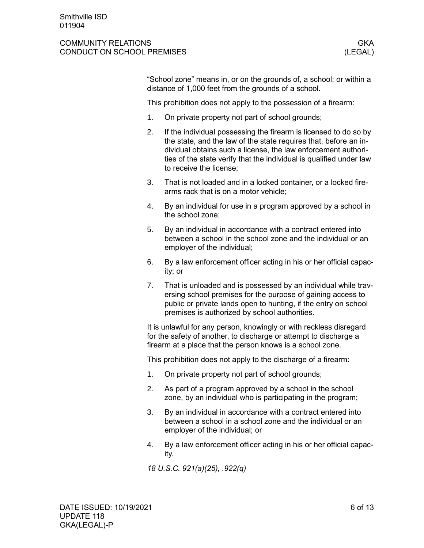#### COMMUNITY RELATIONS **GKA** CONDUCT ON SCHOOL PREMISES (LEGAL)

"School zone" means in, or on the grounds of, a school; or within a distance of 1,000 feet from the grounds of a school.

This prohibition does not apply to the possession of a firearm:

- 1. On private property not part of school grounds;
- 2. If the individual possessing the firearm is licensed to do so by the state, and the law of the state requires that, before an individual obtains such a license, the law enforcement authorities of the state verify that the individual is qualified under law to receive the license;
- 3. That is not loaded and in a locked container, or a locked firearms rack that is on a motor vehicle;
- 4. By an individual for use in a program approved by a school in the school zone;
- 5. By an individual in accordance with a contract entered into between a school in the school zone and the individual or an employer of the individual;
- 6. By a law enforcement officer acting in his or her official capacity; or
- 7. That is unloaded and is possessed by an individual while traversing school premises for the purpose of gaining access to public or private lands open to hunting, if the entry on school premises is authorized by school authorities.

It is unlawful for any person, knowingly or with reckless disregard for the safety of another, to discharge or attempt to discharge a firearm at a place that the person knows is a school zone.

This prohibition does not apply to the discharge of a firearm:

- 1. On private property not part of school grounds;
- 2. As part of a program approved by a school in the school zone, by an individual who is participating in the program;
- 3. By an individual in accordance with a contract entered into between a school in a school zone and the individual or an employer of the individual; or
- 4. By a law enforcement officer acting in his or her official capacity.

*18 U.S.C. 921(a)(25), .922(q)*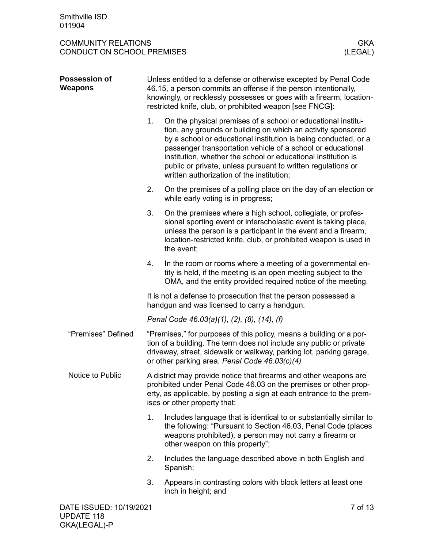<span id="page-6-2"></span><span id="page-6-1"></span><span id="page-6-0"></span>

| <b>Possession of</b><br>Weapons | Unless entitled to a defense or otherwise excepted by Penal Code<br>46.15, a person commits an offense if the person intentionally,<br>knowingly, or recklessly possesses or goes with a firearm, location-<br>restricted knife, club, or prohibited weapon [see FNCG]: |                                                                                                                                                                                                                                                                                                                                                                                                                                              |         |  |  |  |
|---------------------------------|-------------------------------------------------------------------------------------------------------------------------------------------------------------------------------------------------------------------------------------------------------------------------|----------------------------------------------------------------------------------------------------------------------------------------------------------------------------------------------------------------------------------------------------------------------------------------------------------------------------------------------------------------------------------------------------------------------------------------------|---------|--|--|--|
|                                 | 1.                                                                                                                                                                                                                                                                      | On the physical premises of a school or educational institu-<br>tion, any grounds or building on which an activity sponsored<br>by a school or educational institution is being conducted, or a<br>passenger transportation vehicle of a school or educational<br>institution, whether the school or educational institution is<br>public or private, unless pursuant to written regulations or<br>written authorization of the institution; |         |  |  |  |
|                                 | 2.                                                                                                                                                                                                                                                                      | On the premises of a polling place on the day of an election or<br>while early voting is in progress;                                                                                                                                                                                                                                                                                                                                        |         |  |  |  |
|                                 | 3.                                                                                                                                                                                                                                                                      | On the premises where a high school, collegiate, or profes-<br>sional sporting event or interscholastic event is taking place,<br>unless the person is a participant in the event and a firearm,<br>location-restricted knife, club, or prohibited weapon is used in<br>the event;                                                                                                                                                           |         |  |  |  |
|                                 | 4.                                                                                                                                                                                                                                                                      | In the room or rooms where a meeting of a governmental en-<br>tity is held, if the meeting is an open meeting subject to the<br>OMA, and the entity provided required notice of the meeting.                                                                                                                                                                                                                                                 |         |  |  |  |
|                                 | It is not a defense to prosecution that the person possessed a<br>handgun and was licensed to carry a handgun.                                                                                                                                                          |                                                                                                                                                                                                                                                                                                                                                                                                                                              |         |  |  |  |
|                                 | Penal Code 46.03(a)(1), (2), (8), (14), (f)                                                                                                                                                                                                                             |                                                                                                                                                                                                                                                                                                                                                                                                                                              |         |  |  |  |
| "Premises" Defined              |                                                                                                                                                                                                                                                                         | "Premises," for purposes of this policy, means a building or a por-<br>tion of a building. The term does not include any public or private<br>driveway, street, sidewalk or walkway, parking lot, parking garage,<br>or other parking area. Penal Code 46.03(c)(4)                                                                                                                                                                           |         |  |  |  |
| Notice to Public                | A district may provide notice that firearms and other weapons are<br>prohibited under Penal Code 46.03 on the premises or other prop-<br>erty, as applicable, by posting a sign at each entrance to the prem-<br>ises or other property that:                           |                                                                                                                                                                                                                                                                                                                                                                                                                                              |         |  |  |  |
|                                 | 1.                                                                                                                                                                                                                                                                      | Includes language that is identical to or substantially similar to<br>the following: "Pursuant to Section 46.03, Penal Code (places<br>weapons prohibited), a person may not carry a firearm or<br>other weapon on this property";                                                                                                                                                                                                           |         |  |  |  |
|                                 | 2.                                                                                                                                                                                                                                                                      | Includes the language described above in both English and<br>Spanish;                                                                                                                                                                                                                                                                                                                                                                        |         |  |  |  |
|                                 | 3.                                                                                                                                                                                                                                                                      | Appears in contrasting colors with block letters at least one<br>inch in height; and                                                                                                                                                                                                                                                                                                                                                         |         |  |  |  |
| DATE ISSUED: 10/19/2021         |                                                                                                                                                                                                                                                                         |                                                                                                                                                                                                                                                                                                                                                                                                                                              | 7 of 13 |  |  |  |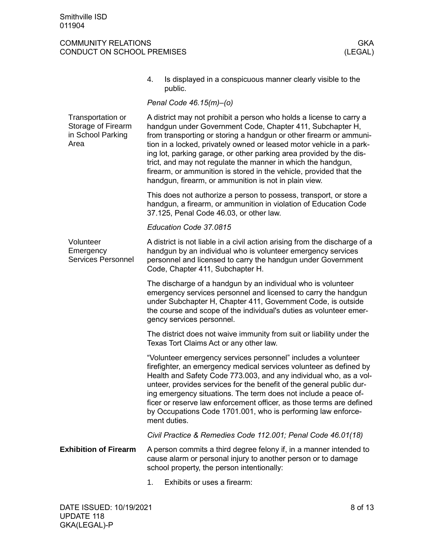<span id="page-7-2"></span><span id="page-7-1"></span><span id="page-7-0"></span>

|                                                                      | 4.                                                                                                                                                                                                                                                                                                                                                                                                                                                                                                                                                   | Is displayed in a conspicuous manner clearly visible to the<br>public.                                                                                                                                                                                                                                                                                                                                                                                                                                      |  |  |  |
|----------------------------------------------------------------------|------------------------------------------------------------------------------------------------------------------------------------------------------------------------------------------------------------------------------------------------------------------------------------------------------------------------------------------------------------------------------------------------------------------------------------------------------------------------------------------------------------------------------------------------------|-------------------------------------------------------------------------------------------------------------------------------------------------------------------------------------------------------------------------------------------------------------------------------------------------------------------------------------------------------------------------------------------------------------------------------------------------------------------------------------------------------------|--|--|--|
|                                                                      |                                                                                                                                                                                                                                                                                                                                                                                                                                                                                                                                                      | Penal Code 46.15(m)-(o)                                                                                                                                                                                                                                                                                                                                                                                                                                                                                     |  |  |  |
| Transportation or<br>Storage of Firearm<br>in School Parking<br>Area | A district may not prohibit a person who holds a license to carry a<br>handgun under Government Code, Chapter 411, Subchapter H,<br>from transporting or storing a handgun or other firearm or ammuni-<br>tion in a locked, privately owned or leased motor vehicle in a park-<br>ing lot, parking garage, or other parking area provided by the dis-<br>trict, and may not regulate the manner in which the handgun,<br>firearm, or ammunition is stored in the vehicle, provided that the<br>handgun, firearm, or ammunition is not in plain view. |                                                                                                                                                                                                                                                                                                                                                                                                                                                                                                             |  |  |  |
|                                                                      |                                                                                                                                                                                                                                                                                                                                                                                                                                                                                                                                                      | This does not authorize a person to possess, transport, or store a<br>handgun, a firearm, or ammunition in violation of Education Code<br>37.125, Penal Code 46.03, or other law.                                                                                                                                                                                                                                                                                                                           |  |  |  |
|                                                                      |                                                                                                                                                                                                                                                                                                                                                                                                                                                                                                                                                      | Education Code 37.0815                                                                                                                                                                                                                                                                                                                                                                                                                                                                                      |  |  |  |
| Volunteer<br>Emergency<br><b>Services Personnel</b>                  |                                                                                                                                                                                                                                                                                                                                                                                                                                                                                                                                                      | A district is not liable in a civil action arising from the discharge of a<br>handgun by an individual who is volunteer emergency services<br>personnel and licensed to carry the handgun under Government<br>Code, Chapter 411, Subchapter H.                                                                                                                                                                                                                                                              |  |  |  |
|                                                                      |                                                                                                                                                                                                                                                                                                                                                                                                                                                                                                                                                      | The discharge of a handgun by an individual who is volunteer<br>emergency services personnel and licensed to carry the handgun<br>under Subchapter H, Chapter 411, Government Code, is outside<br>the course and scope of the individual's duties as volunteer emer-<br>gency services personnel.                                                                                                                                                                                                           |  |  |  |
|                                                                      |                                                                                                                                                                                                                                                                                                                                                                                                                                                                                                                                                      | The district does not waive immunity from suit or liability under the<br>Texas Tort Claims Act or any other law.                                                                                                                                                                                                                                                                                                                                                                                            |  |  |  |
|                                                                      |                                                                                                                                                                                                                                                                                                                                                                                                                                                                                                                                                      | "Volunteer emergency services personnel" includes a volunteer<br>firefighter, an emergency medical services volunteer as defined by<br>Health and Safety Code 773.003, and any individual who, as a vol-<br>unteer, provides services for the benefit of the general public dur-<br>ing emergency situations. The term does not include a peace of-<br>ficer or reserve law enforcement officer, as those terms are defined<br>by Occupations Code 1701.001, who is performing law enforce-<br>ment duties. |  |  |  |
|                                                                      |                                                                                                                                                                                                                                                                                                                                                                                                                                                                                                                                                      | Civil Practice & Remedies Code 112.001; Penal Code 46.01(18)                                                                                                                                                                                                                                                                                                                                                                                                                                                |  |  |  |
| <b>Exhibition of Firearm</b>                                         |                                                                                                                                                                                                                                                                                                                                                                                                                                                                                                                                                      | A person commits a third degree felony if, in a manner intended to<br>cause alarm or personal injury to another person or to damage<br>school property, the person intentionally:                                                                                                                                                                                                                                                                                                                           |  |  |  |
|                                                                      | 1.                                                                                                                                                                                                                                                                                                                                                                                                                                                                                                                                                   | Exhibits or uses a firearm:                                                                                                                                                                                                                                                                                                                                                                                                                                                                                 |  |  |  |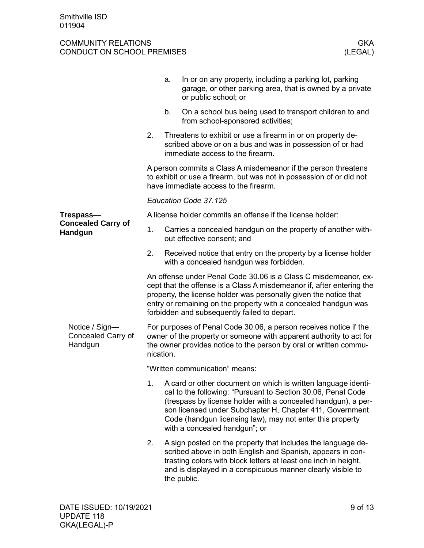<span id="page-8-1"></span><span id="page-8-0"></span>

|                                                 |                                | a.        | In or on any property, including a parking lot, parking<br>garage, or other parking area, that is owned by a private<br>or public school; or                                                                                                                                                                                                                |
|-------------------------------------------------|--------------------------------|-----------|-------------------------------------------------------------------------------------------------------------------------------------------------------------------------------------------------------------------------------------------------------------------------------------------------------------------------------------------------------------|
|                                                 |                                | b.        | On a school bus being used to transport children to and<br>from school-sponsored activities;                                                                                                                                                                                                                                                                |
|                                                 | 2.                             |           | Threatens to exhibit or use a firearm in or on property de-<br>scribed above or on a bus and was in possession of or had<br>immediate access to the firearm.                                                                                                                                                                                                |
|                                                 |                                |           | A person commits a Class A misdemeanor if the person threatens<br>to exhibit or use a firearm, but was not in possession of or did not<br>have immediate access to the firearm.                                                                                                                                                                             |
|                                                 |                                |           | Education Code 37.125                                                                                                                                                                                                                                                                                                                                       |
| Trespass-                                       |                                |           | A license holder commits an offense if the license holder:                                                                                                                                                                                                                                                                                                  |
| <b>Concealed Carry of</b><br>Handgun            | 1.                             |           | Carries a concealed handgun on the property of another with-<br>out effective consent; and                                                                                                                                                                                                                                                                  |
|                                                 | 2.                             |           | Received notice that entry on the property by a license holder<br>with a concealed handgun was forbidden.                                                                                                                                                                                                                                                   |
|                                                 |                                |           | An offense under Penal Code 30.06 is a Class C misdemeanor, ex-<br>cept that the offense is a Class A misdemeanor if, after entering the<br>property, the license holder was personally given the notice that<br>entry or remaining on the property with a concealed handgun was<br>forbidden and subsequently failed to depart.                            |
| Notice / Sign-<br>Concealed Carry of<br>Handgun |                                | nication. | For purposes of Penal Code 30.06, a person receives notice if the<br>owner of the property or someone with apparent authority to act for<br>the owner provides notice to the person by oral or written commu-                                                                                                                                               |
|                                                 | "Written communication" means: |           |                                                                                                                                                                                                                                                                                                                                                             |
|                                                 |                                |           | 1. A card or other document on which is written language identi-<br>cal to the following: "Pursuant to Section 30.06, Penal Code<br>(trespass by license holder with a concealed handgun), a per-<br>son licensed under Subchapter H, Chapter 411, Government<br>Code (handgun licensing law), may not enter this property<br>with a concealed handgun"; or |
|                                                 | 2.                             |           | A sign posted on the property that includes the language de-<br>scribed above in both English and Spanish, appears in con-<br>trasting colors with block letters at least one inch in height,<br>and is displayed in a conspicuous manner clearly visible to<br>the public.                                                                                 |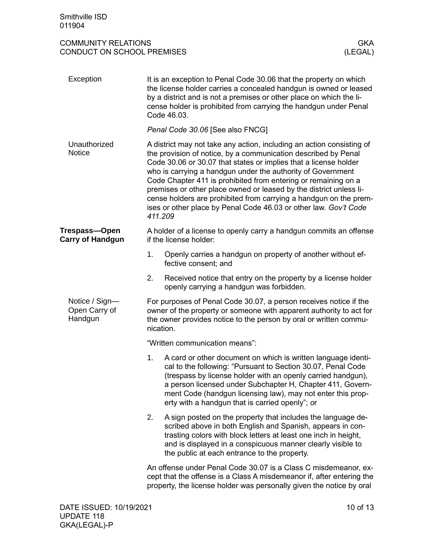<span id="page-9-3"></span><span id="page-9-2"></span><span id="page-9-1"></span><span id="page-9-0"></span>

| Exception                                  | It is an exception to Penal Code 30.06 that the property on which<br>the license holder carries a concealed handgun is owned or leased<br>by a district and is not a premises or other place on which the li-<br>cense holder is prohibited from carrying the handgun under Penal<br>Code 46.03.                                                                                                                                                                                                                                                                       |  |  |  |  |  |
|--------------------------------------------|------------------------------------------------------------------------------------------------------------------------------------------------------------------------------------------------------------------------------------------------------------------------------------------------------------------------------------------------------------------------------------------------------------------------------------------------------------------------------------------------------------------------------------------------------------------------|--|--|--|--|--|
|                                            | Penal Code 30.06 [See also FNCG]                                                                                                                                                                                                                                                                                                                                                                                                                                                                                                                                       |  |  |  |  |  |
| Unauthorized<br><b>Notice</b>              | A district may not take any action, including an action consisting of<br>the provision of notice, by a communication described by Penal<br>Code 30.06 or 30.07 that states or implies that a license holder<br>who is carrying a handgun under the authority of Government<br>Code Chapter 411 is prohibited from entering or remaining on a<br>premises or other place owned or leased by the district unless li-<br>cense holders are prohibited from carrying a handgun on the prem-<br>ises or other place by Penal Code 46.03 or other law. Gov't Code<br>411.209 |  |  |  |  |  |
| Trespass—Open<br><b>Carry of Handgun</b>   | A holder of a license to openly carry a handgun commits an offense<br>if the license holder:                                                                                                                                                                                                                                                                                                                                                                                                                                                                           |  |  |  |  |  |
|                                            | Openly carries a handgun on property of another without ef-<br>1.<br>fective consent; and                                                                                                                                                                                                                                                                                                                                                                                                                                                                              |  |  |  |  |  |
|                                            | 2.<br>Received notice that entry on the property by a license holder<br>openly carrying a handgun was forbidden.                                                                                                                                                                                                                                                                                                                                                                                                                                                       |  |  |  |  |  |
| Notice / Sign-<br>Open Carry of<br>Handgun | For purposes of Penal Code 30.07, a person receives notice if the<br>owner of the property or someone with apparent authority to act for<br>the owner provides notice to the person by oral or written commu-<br>nication.                                                                                                                                                                                                                                                                                                                                             |  |  |  |  |  |
|                                            | "Written communication means":                                                                                                                                                                                                                                                                                                                                                                                                                                                                                                                                         |  |  |  |  |  |
|                                            | 1.<br>A card or other document on which is written language identi-<br>cal to the following: "Pursuant to Section 30.07, Penal Code<br>(trespass by license holder with an openly carried handgun),<br>a person licensed under Subchapter H, Chapter 411, Govern-<br>ment Code (handgun licensing law), may not enter this prop-<br>erty with a handgun that is carried openly"; or                                                                                                                                                                                    |  |  |  |  |  |
|                                            | A sign posted on the property that includes the language de-<br>2.<br>scribed above in both English and Spanish, appears in con-<br>trasting colors with block letters at least one inch in height,<br>and is displayed in a conspicuous manner clearly visible to<br>the public at each entrance to the property.                                                                                                                                                                                                                                                     |  |  |  |  |  |
|                                            | An offense under Penal Code 30.07 is a Class C misdemeanor, ex-<br>cept that the offense is a Class A misdemeanor if, after entering the<br>property, the license holder was personally given the notice by oral                                                                                                                                                                                                                                                                                                                                                       |  |  |  |  |  |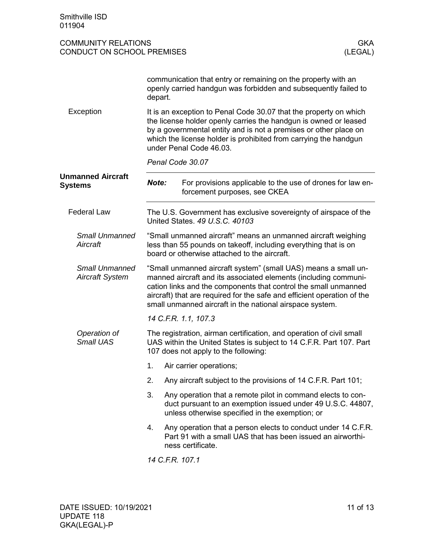<span id="page-10-2"></span><span id="page-10-1"></span><span id="page-10-0"></span>

| Smithville ISD<br>011904                                 |                                                                                                                                                                                  |                                                                                                                                                                                                                                                                                                                                             |  |
|----------------------------------------------------------|----------------------------------------------------------------------------------------------------------------------------------------------------------------------------------|---------------------------------------------------------------------------------------------------------------------------------------------------------------------------------------------------------------------------------------------------------------------------------------------------------------------------------------------|--|
| <b>COMMUNITY RELATIONS</b><br>CONDUCT ON SCHOOL PREMISES |                                                                                                                                                                                  | <b>GKA</b><br>(LEGAL)                                                                                                                                                                                                                                                                                                                       |  |
|                                                          | depart.                                                                                                                                                                          | communication that entry or remaining on the property with an<br>openly carried handgun was forbidden and subsequently failed to                                                                                                                                                                                                            |  |
| Exception                                                |                                                                                                                                                                                  | It is an exception to Penal Code 30.07 that the property on which<br>the license holder openly carries the handgun is owned or leased<br>by a governmental entity and is not a premises or other place on<br>which the license holder is prohibited from carrying the handgun<br>under Penal Code 46.03.                                    |  |
|                                                          |                                                                                                                                                                                  | Penal Code 30.07                                                                                                                                                                                                                                                                                                                            |  |
| <b>Unmanned Aircraft</b><br><b>Systems</b>               | Note:                                                                                                                                                                            | For provisions applicable to the use of drones for law en-<br>forcement purposes, see CKEA                                                                                                                                                                                                                                                  |  |
| <b>Federal Law</b>                                       |                                                                                                                                                                                  | The U.S. Government has exclusive sovereignty of airspace of the<br>United States, 49 U.S.C. 40103                                                                                                                                                                                                                                          |  |
| <b>Small Unmanned</b><br>Aircraft                        | "Small unmanned aircraft" means an unmanned aircraft weighing<br>less than 55 pounds on takeoff, including everything that is on<br>board or otherwise attached to the aircraft. |                                                                                                                                                                                                                                                                                                                                             |  |
| <b>Small Unmanned</b><br><b>Aircraft System</b>          |                                                                                                                                                                                  | "Small unmanned aircraft system" (small UAS) means a small un-<br>manned aircraft and its associated elements (including communi-<br>cation links and the components that control the small unmanned<br>aircraft) that are required for the safe and efficient operation of the<br>small unmanned aircraft in the national airspace system. |  |
|                                                          |                                                                                                                                                                                  | 14 C.F.R. 1.1, 107.3                                                                                                                                                                                                                                                                                                                        |  |
| Operation of<br><b>Small UAS</b>                         |                                                                                                                                                                                  | The registration, airman certification, and operation of civil small<br>UAS within the United States is subject to 14 C.F.R. Part 107. Part<br>107 does not apply to the following:                                                                                                                                                         |  |
|                                                          | 1.                                                                                                                                                                               | Air carrier operations;                                                                                                                                                                                                                                                                                                                     |  |
|                                                          | 2.                                                                                                                                                                               | Any aircraft subject to the provisions of 14 C.F.R. Part 101;                                                                                                                                                                                                                                                                               |  |
|                                                          | 3.                                                                                                                                                                               | Any operation that a remote pilot in command elects to con-<br>duct pursuant to an exemption issued under 49 U.S.C. 44807,<br>unless otherwise specified in the exemption; or                                                                                                                                                               |  |
|                                                          | 4.                                                                                                                                                                               | Any operation that a person elects to conduct under 14 C.F.R.<br>Part 91 with a small UAS that has been issued an airworthi-<br>ness certificate.                                                                                                                                                                                           |  |
|                                                          |                                                                                                                                                                                  | 14 C.F.R. 107.1                                                                                                                                                                                                                                                                                                                             |  |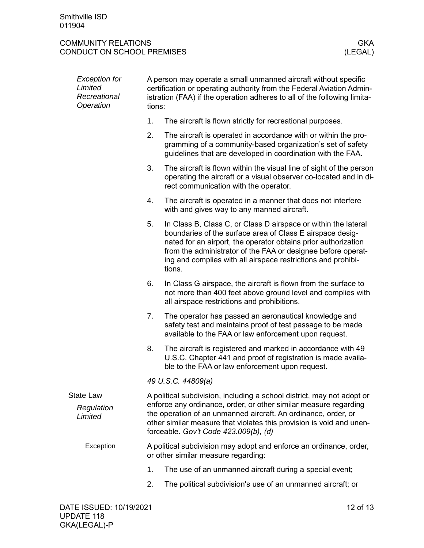<span id="page-11-0"></span>

| <b>Exception for</b><br>Limited<br>Recreational<br>Operation |    | A person may operate a small unmanned aircraft without specific<br>certification or operating authority from the Federal Aviation Admin-<br>istration (FAA) if the operation adheres to all of the following limita-<br>tions:                                                                                                          |  |  |  |  |  |
|--------------------------------------------------------------|----|-----------------------------------------------------------------------------------------------------------------------------------------------------------------------------------------------------------------------------------------------------------------------------------------------------------------------------------------|--|--|--|--|--|
|                                                              | 1. | The aircraft is flown strictly for recreational purposes.                                                                                                                                                                                                                                                                               |  |  |  |  |  |
|                                                              | 2. | The aircraft is operated in accordance with or within the pro-<br>gramming of a community-based organization's set of safety<br>guidelines that are developed in coordination with the FAA.                                                                                                                                             |  |  |  |  |  |
|                                                              | 3. | The aircraft is flown within the visual line of sight of the person<br>operating the aircraft or a visual observer co-located and in di-<br>rect communication with the operator.                                                                                                                                                       |  |  |  |  |  |
|                                                              | 4. | The aircraft is operated in a manner that does not interfere<br>with and gives way to any manned aircraft.                                                                                                                                                                                                                              |  |  |  |  |  |
|                                                              | 5. | In Class B, Class C, or Class D airspace or within the lateral<br>boundaries of the surface area of Class E airspace desig-<br>nated for an airport, the operator obtains prior authorization<br>from the administrator of the FAA or designee before operat-<br>ing and complies with all airspace restrictions and prohibi-<br>tions. |  |  |  |  |  |
|                                                              | 6. | In Class G airspace, the aircraft is flown from the surface to<br>not more than 400 feet above ground level and complies with<br>all airspace restrictions and prohibitions.                                                                                                                                                            |  |  |  |  |  |
|                                                              | 7. | The operator has passed an aeronautical knowledge and<br>safety test and maintains proof of test passage to be made<br>available to the FAA or law enforcement upon request.                                                                                                                                                            |  |  |  |  |  |
|                                                              | 8. | The aircraft is registered and marked in accordance with 49<br>U.S.C. Chapter 441 and proof of registration is made availa-<br>ble to the FAA or law enforcement upon request.                                                                                                                                                          |  |  |  |  |  |
|                                                              |    | 49 U.S.C. 44809(a)                                                                                                                                                                                                                                                                                                                      |  |  |  |  |  |
| <b>State Law</b><br>Regulation<br>Limited                    |    | A political subdivision, including a school district, may not adopt or<br>enforce any ordinance, order, or other similar measure regarding<br>the operation of an unmanned aircraft. An ordinance, order, or<br>other similar measure that violates this provision is void and unen-<br>forceable. Gov't Code 423.009(b), (d)           |  |  |  |  |  |
| Exception                                                    |    | A political subdivision may adopt and enforce an ordinance, order,<br>or other similar measure regarding:                                                                                                                                                                                                                               |  |  |  |  |  |
|                                                              | 1. | The use of an unmanned aircraft during a special event;                                                                                                                                                                                                                                                                                 |  |  |  |  |  |
|                                                              | 2. | The political subdivision's use of an unmanned aircraft; or                                                                                                                                                                                                                                                                             |  |  |  |  |  |
|                                                              |    |                                                                                                                                                                                                                                                                                                                                         |  |  |  |  |  |